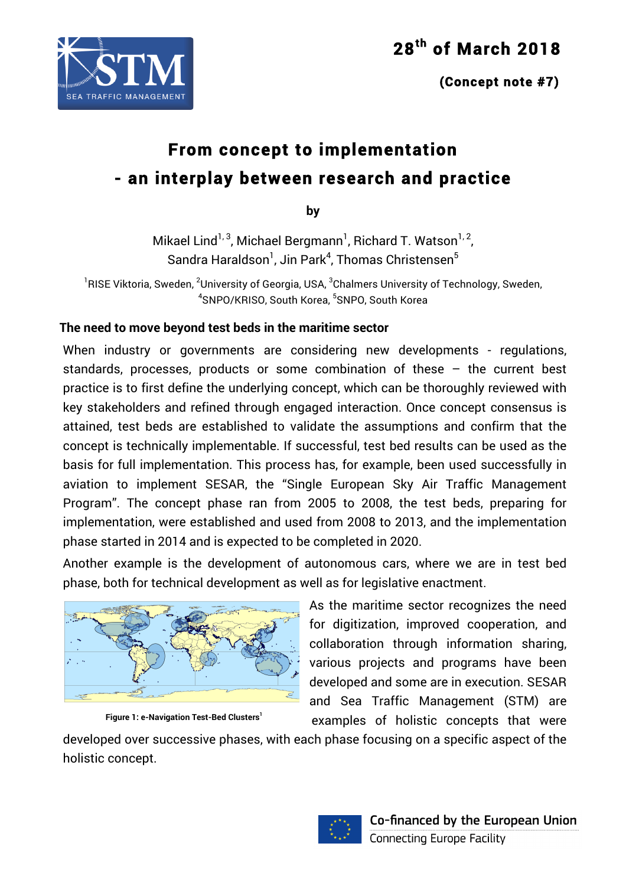

# SEA TRAFFIC MANAGEMENT

# **From concept to implementation - an interplay between research and practice**

**by**

Mikael Lind<sup>1, 3</sup>, Michael Bergmann<sup>1</sup>, Richard T. Watson<sup>1, 2</sup>, Sandra Haraldson $^{\text{\tiny{\textsf{1}}}}$ , Jin Park $^{\text{\tiny{\textsf{4}}}}$ , Thomas Christensen $^{\text{\tiny{\textsf{5}}}}$ 

 $^{\rm 1}$ RISE Viktoria, Sweden,  $^{\rm 2}$ University of Georgia, USA,  $^{\rm 3}$ Chalmers University of Technology, Sweden, 4 SNPO/KRISO, South Korea, <sup>5</sup> SNPO, South Korea

### **The need to move beyond test beds in the maritime sector**

When industry or governments are considering new developments - regulations, standards, processes, products or some combination of these – the current best practice is to first define the underlying concept, which can be thoroughly reviewed with key stakeholders and refined through engaged interaction. Once concept consensus is attained, test beds are established to validate the assumptions and confirm that the concept is technically implementable. If successful, test bed results can be used as the basis for full implementation. This process has, for example, been used successfully in aviation to implement SESAR, the "Single European Sky Air Traffic Management Program". The concept phase ran from 2005 to 2008, the test beds, preparing for implementation, were established and used from 2008 to 2013, and the implementation phase started in 2014 and is expected to be completed in 2020.

Another example is the development of autonomous cars, where we are in test bed phase, both for technical development as well as for legislative enactment.



**Figure 1: e-Navigation Test-Bed Clusters<sup>1</sup>**

As the maritime sector recognizes the need for digitization, improved cooperation, and collaboration through information sharing, various projects and programs have been developed and some are in execution. SESAR and Sea Traffic Management (STM) are examples of holistic concepts that were

developed over successive phases, with each phase focusing on a specific aspect of the holistic concept.

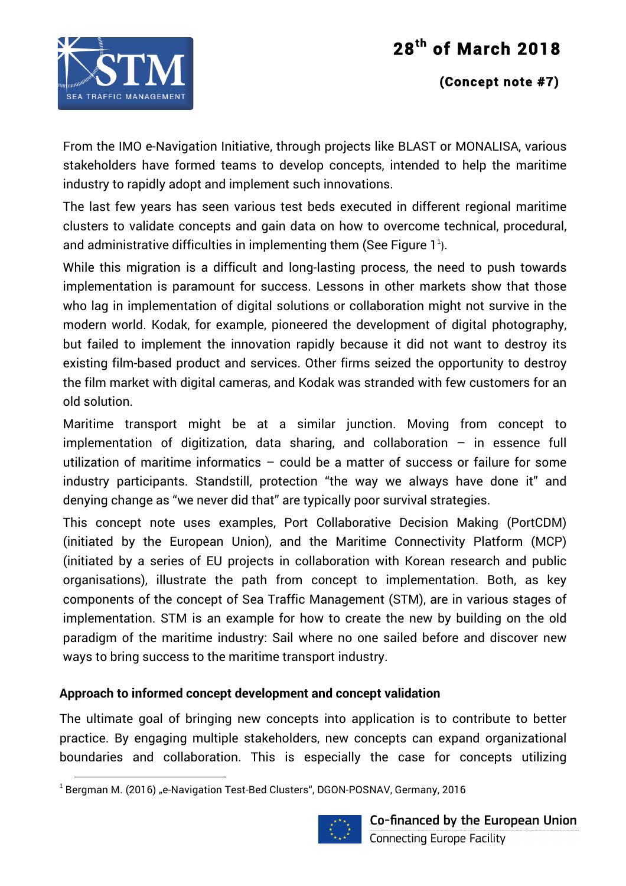

### **(Concept note #7)**

From the IMO e-Navigation Initiative, through projects like BLAST or MONALISA, various stakeholders have formed teams to develop concepts, intended to help the maritime industry to rapidly adopt and implement such innovations.

The last few years has seen various test beds executed in different regional maritime clusters to validate concepts and gain data on how to overcome technical, procedural, and administrative difficulties in implementing them (See Figure  $1^1$ ).

While this migration is a difficult and long-lasting process, the need to push towards implementation is paramount for success. Lessons in other markets show that those who lag in implementation of digital solutions or collaboration might not survive in the modern world. Kodak, for example, pioneered the development of digital photography, but failed to implement the innovation rapidly because it did not want to destroy its existing film-based product and services. Other firms seized the opportunity to destroy the film market with digital cameras, and Kodak was stranded with few customers for an old solution.

Maritime transport might be at a similar junction. Moving from concept to implementation of digitization, data sharing, and collaboration – in essence full utilization of maritime informatics – could be a matter of success or failure for some industry participants. Standstill, protection "the way we always have done it" and denying change as "we never did that" are typically poor survival strategies.

This concept note uses examples, Port Collaborative Decision Making (PortCDM) (initiated by the European Union), and the Maritime Connectivity Platform (MCP) (initiated by a series of EU projects in collaboration with Korean research and public organisations), illustrate the path from concept to implementation. Both, as key components of the concept of Sea Traffic Management (STM), are in various stages of implementation. STM is an example for how to create the new by building on the old paradigm of the maritime industry: Sail where no one sailed before and discover new ways to bring success to the maritime transport industry.

#### **Approach to informed concept development and concept validation**

The ultimate goal of bringing new concepts into application is to contribute to better practice. By engaging multiple stakeholders, new concepts can expand organizational boundaries and collaboration. This is especially the case for concepts utilizing

<u> 1989 - Johann Stein, mars et al. 1989 - Anna ann an t-Anna ann an t-Anna ann an t-Anna ann an t-Anna ann an t-</u>



 $1$  Bergman M. (2016) "e-Navigation Test-Bed Clusters", DGON-POSNAV, Germany, 2016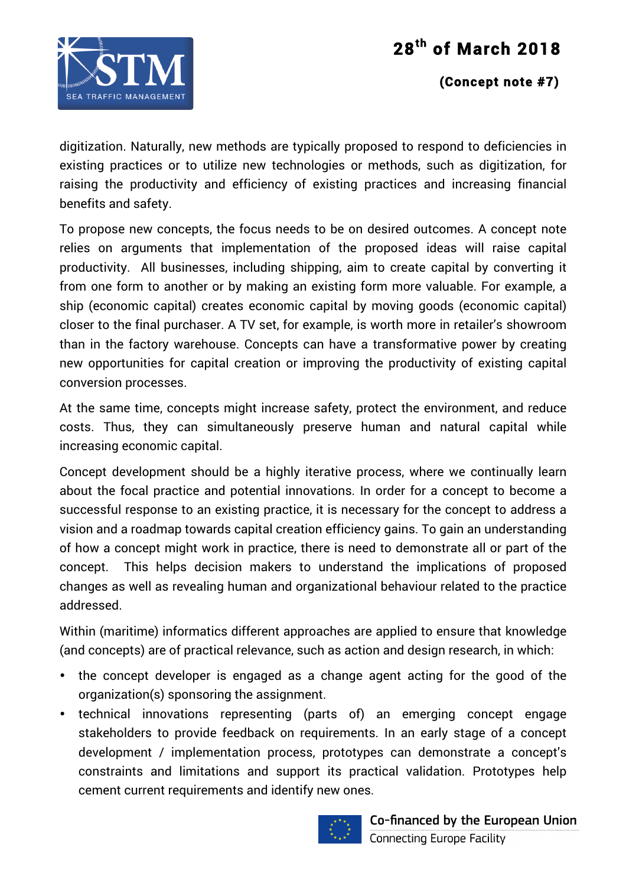



### **(Concept note #7)**

digitization. Naturally, new methods are typically proposed to respond to deficiencies in existing practices or to utilize new technologies or methods, such as digitization, for raising the productivity and efficiency of existing practices and increasing financial benefits and safety.

To propose new concepts, the focus needs to be on desired outcomes. A concept note relies on arguments that implementation of the proposed ideas will raise capital productivity. All businesses, including shipping, aim to create capital by converting it from one form to another or by making an existing form more valuable. For example, a ship (economic capital) creates economic capital by moving goods (economic capital) closer to the final purchaser. A TV set, for example, is worth more in retailer's showroom than in the factory warehouse. Concepts can have a transformative power by creating new opportunities for capital creation or improving the productivity of existing capital conversion processes.

At the same time, concepts might increase safety, protect the environment, and reduce costs. Thus, they can simultaneously preserve human and natural capital while increasing economic capital.

Concept development should be a highly iterative process, where we continually learn about the focal practice and potential innovations. In order for a concept to become a successful response to an existing practice, it is necessary for the concept to address a vision and a roadmap towards capital creation efficiency gains. To gain an understanding of how a concept might work in practice, there is need to demonstrate all or part of the concept. This helps decision makers to understand the implications of proposed changes as well as revealing human and organizational behaviour related to the practice addressed.

Within (maritime) informatics different approaches are applied to ensure that knowledge (and concepts) are of practical relevance, such as action and design research, in which:

- the concept developer is engaged as a change agent acting for the good of the organization(s) sponsoring the assignment.
- technical innovations representing (parts of) an emerging concept engage stakeholders to provide feedback on requirements. In an early stage of a concept development / implementation process, prototypes can demonstrate a concept's constraints and limitations and support its practical validation. Prototypes help cement current requirements and identify new ones.

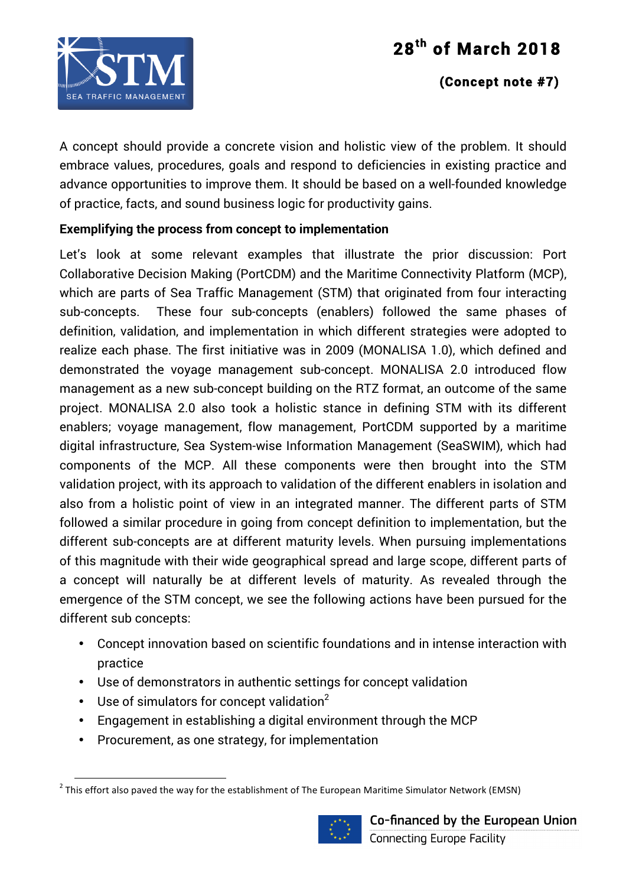

### **(Concept note #7)**

A concept should provide a concrete vision and holistic view of the problem. It should embrace values, procedures, goals and respond to deficiencies in existing practice and advance opportunities to improve them. It should be based on a well-founded knowledge of practice, facts, and sound business logic for productivity gains.

### **Exemplifying the process from concept to implementation**

Let's look at some relevant examples that illustrate the prior discussion: Port Collaborative Decision Making (PortCDM) and the Maritime Connectivity Platform (MCP), which are parts of Sea Traffic Management (STM) that originated from four interacting sub-concepts. These four sub-concepts (enablers) followed the same phases of definition, validation, and implementation in which different strategies were adopted to realize each phase. The first initiative was in 2009 (MONALISA 1.0), which defined and demonstrated the voyage management sub-concept. MONALISA 2.0 introduced flow management as a new sub-concept building on the RTZ format, an outcome of the same project. MONALISA 2.0 also took a holistic stance in defining STM with its different enablers; voyage management, flow management, PortCDM supported by a maritime digital infrastructure, Sea System-wise Information Management (SeaSWIM), which had components of the MCP. All these components were then brought into the STM validation project, with its approach to validation of the different enablers in isolation and also from a holistic point of view in an integrated manner. The different parts of STM followed a similar procedure in going from concept definition to implementation, but the different sub-concepts are at different maturity levels. When pursuing implementations of this magnitude with their wide geographical spread and large scope, different parts of a concept will naturally be at different levels of maturity. As revealed through the emergence of the STM concept, we see the following actions have been pursued for the different sub concepts:

- Concept innovation based on scientific foundations and in intense interaction with practice
- Use of demonstrators in authentic settings for concept validation
- Use of simulators for concept validation $2$

<u> 1989 - Johann Stein, mars et al. 1989 - Anna ann an t-Anna ann an t-Anna ann an t-Anna ann an t-Anna ann an t-</u>

- Engagement in establishing a digital environment through the MCP
- Procurement, as one strategy, for implementation

 $^2$  This effort also paved the way for the establishment of The European Maritime Simulator Network (EMSN)

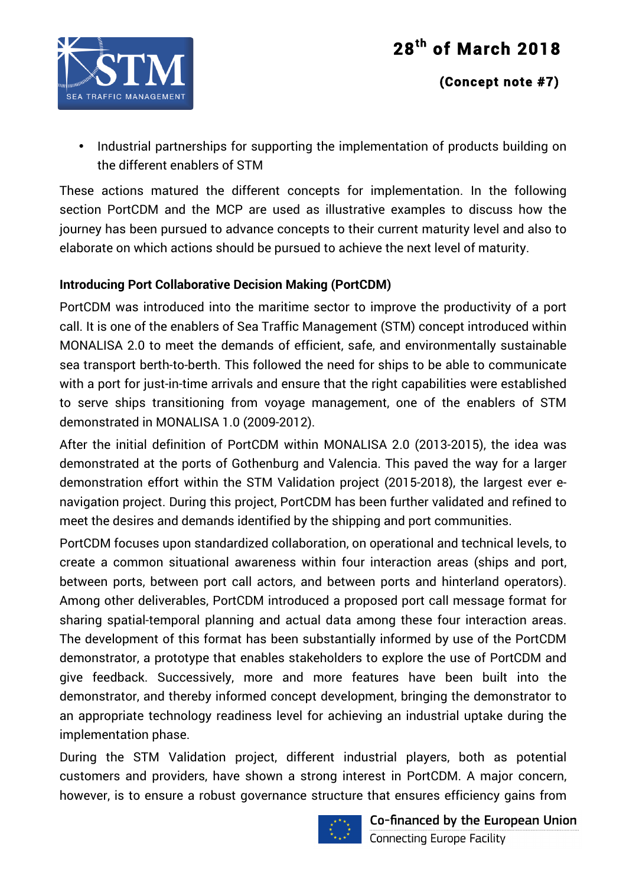



• Industrial partnerships for supporting the implementation of products building on the different enablers of STM

These actions matured the different concepts for implementation. In the following section PortCDM and the MCP are used as illustrative examples to discuss how the journey has been pursued to advance concepts to their current maturity level and also to elaborate on which actions should be pursued to achieve the next level of maturity.

### **Introducing Port Collaborative Decision Making (PortCDM)**

PortCDM was introduced into the maritime sector to improve the productivity of a port call. It is one of the enablers of Sea Traffic Management (STM) concept introduced within MONALISA 2.0 to meet the demands of efficient, safe, and environmentally sustainable sea transport berth-to-berth. This followed the need for ships to be able to communicate with a port for just-in-time arrivals and ensure that the right capabilities were established to serve ships transitioning from voyage management, one of the enablers of STM demonstrated in MONALISA 1.0 (2009-2012).

After the initial definition of PortCDM within MONALISA 2.0 (2013-2015), the idea was demonstrated at the ports of Gothenburg and Valencia. This paved the way for a larger demonstration effort within the STM Validation project (2015-2018), the largest ever enavigation project. During this project, PortCDM has been further validated and refined to meet the desires and demands identified by the shipping and port communities.

PortCDM focuses upon standardized collaboration, on operational and technical levels, to create a common situational awareness within four interaction areas (ships and port, between ports, between port call actors, and between ports and hinterland operators). Among other deliverables, PortCDM introduced a proposed port call message format for sharing spatial-temporal planning and actual data among these four interaction areas. The development of this format has been substantially informed by use of the PortCDM demonstrator, a prototype that enables stakeholders to explore the use of PortCDM and give feedback. Successively, more and more features have been built into the demonstrator, and thereby informed concept development, bringing the demonstrator to an appropriate technology readiness level for achieving an industrial uptake during the implementation phase.

During the STM Validation project, different industrial players, both as potential customers and providers, have shown a strong interest in PortCDM. A major concern, however, is to ensure a robust governance structure that ensures efficiency gains from

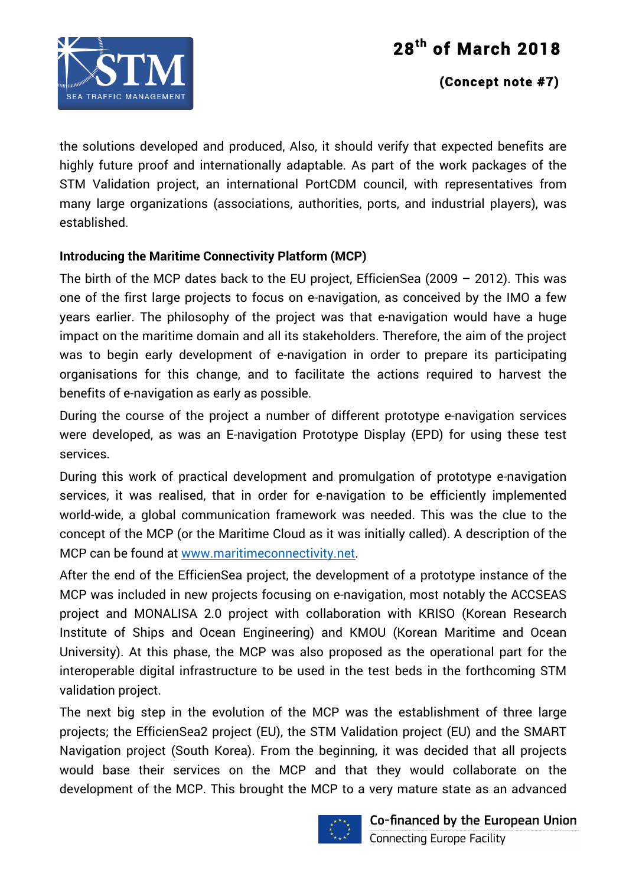

### **(Concept note #7)**

the solutions developed and produced, Also, it should verify that expected benefits are highly future proof and internationally adaptable. As part of the work packages of the STM Validation project, an international PortCDM council, with representatives from many large organizations (associations, authorities, ports, and industrial players), was established.

### **Introducing the Maritime Connectivity Platform (MCP)**

The birth of the MCP dates back to the EU project, EfficienSea (2009 – 2012). This was one of the first large projects to focus on e-navigation, as conceived by the IMO a few years earlier. The philosophy of the project was that e-navigation would have a huge impact on the maritime domain and all its stakeholders. Therefore, the aim of the project was to begin early development of e-navigation in order to prepare its participating organisations for this change, and to facilitate the actions required to harvest the benefits of e-navigation as early as possible.

During the course of the project a number of different prototype e-navigation services were developed, as was an E-navigation Prototype Display (EPD) for using these test services.

During this work of practical development and promulgation of prototype e-navigation services, it was realised, that in order for e-navigation to be efficiently implemented world-wide, a global communication framework was needed. This was the clue to the concept of the MCP (or the Maritime Cloud as it was initially called). A description of the MCP can be found at www.maritimeconnectivity.net.

After the end of the EfficienSea project, the development of a prototype instance of the MCP was included in new projects focusing on e-navigation, most notably the ACCSEAS project and MONALISA 2.0 project with collaboration with KRISO (Korean Research Institute of Ships and Ocean Engineering) and KMOU (Korean Maritime and Ocean University). At this phase, the MCP was also proposed as the operational part for the interoperable digital infrastructure to be used in the test beds in the forthcoming STM validation project.

The next big step in the evolution of the MCP was the establishment of three large projects; the EfficienSea2 project (EU), the STM Validation project (EU) and the SMART Navigation project (South Korea). From the beginning, it was decided that all projects would base their services on the MCP and that they would collaborate on the development of the MCP. This brought the MCP to a very mature state as an advanced

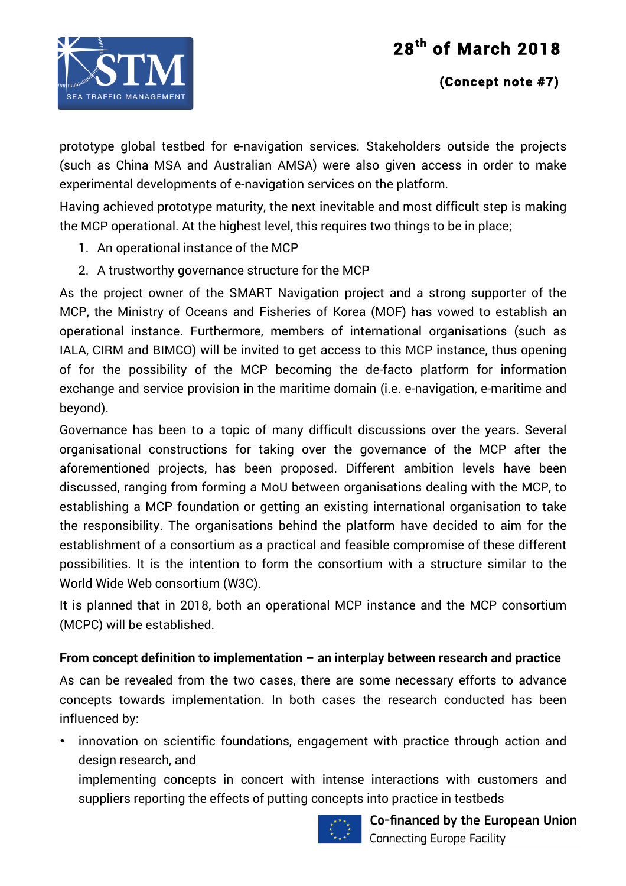

### **(Concept note #7)**

prototype global testbed for e-navigation services. Stakeholders outside the projects (such as China MSA and Australian AMSA) were also given access in order to make experimental developments of e-navigation services on the platform.

Having achieved prototype maturity, the next inevitable and most difficult step is making the MCP operational. At the highest level, this requires two things to be in place;

- 1. An operational instance of the MCP
- 2. A trustworthy governance structure for the MCP

As the project owner of the SMART Navigation project and a strong supporter of the MCP, the Ministry of Oceans and Fisheries of Korea (MOF) has vowed to establish an operational instance. Furthermore, members of international organisations (such as IALA, CIRM and BIMCO) will be invited to get access to this MCP instance, thus opening of for the possibility of the MCP becoming the de-facto platform for information exchange and service provision in the maritime domain (i.e. e-navigation, e-maritime and beyond).

Governance has been to a topic of many difficult discussions over the years. Several organisational constructions for taking over the governance of the MCP after the aforementioned projects, has been proposed. Different ambition levels have been discussed, ranging from forming a MoU between organisations dealing with the MCP, to establishing a MCP foundation or getting an existing international organisation to take the responsibility. The organisations behind the platform have decided to aim for the establishment of a consortium as a practical and feasible compromise of these different possibilities. It is the intention to form the consortium with a structure similar to the World Wide Web consortium (W3C).

It is planned that in 2018, both an operational MCP instance and the MCP consortium (MCPC) will be established.

### **From concept definition to implementation – an interplay between research and practice**

As can be revealed from the two cases, there are some necessary efforts to advance concepts towards implementation. In both cases the research conducted has been influenced by:

• innovation on scientific foundations, engagement with practice through action and design research, and

implementing concepts in concert with intense interactions with customers and suppliers reporting the effects of putting concepts into practice in testbeds

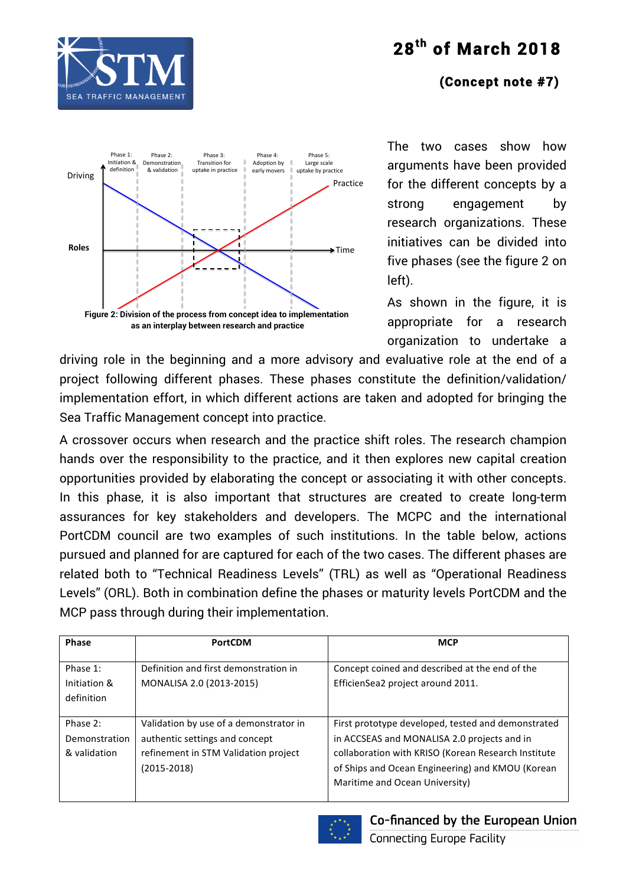

### **(Concept note #7)**



The two cases show how arguments have been provided for the different concepts by a strong engagement by research organizations. These initiatives can be divided into five phases (see the figure 2 on left).

As shown in the figure, it is appropriate for a research organization to undertake a

driving role in the beginning and a more advisory and evaluative role at the end of a project following different phases. These phases constitute the definition/validation/ implementation effort, in which different actions are taken and adopted for bringing the Sea Traffic Management concept into practice.

A crossover occurs when research and the practice shift roles. The research champion hands over the responsibility to the practice, and it then explores new capital creation opportunities provided by elaborating the concept or associating it with other concepts. In this phase, it is also important that structures are created to create long-term assurances for key stakeholders and developers. The MCPC and the international PortCDM council are two examples of such institutions. In the table below, actions pursued and planned for are captured for each of the two cases. The different phases are related both to "Technical Readiness Levels" (TRL) as well as "Operational Readiness Levels" (ORL). Both in combination define the phases or maturity levels PortCDM and the MCP pass through during their implementation.

| <b>Phase</b>                              | <b>PortCDM</b>                                                                                                                      | <b>MCP</b>                                                                                                                                                                                                                                     |
|-------------------------------------------|-------------------------------------------------------------------------------------------------------------------------------------|------------------------------------------------------------------------------------------------------------------------------------------------------------------------------------------------------------------------------------------------|
| Phase 1:<br>Initiation &<br>definition    | Definition and first demonstration in<br>MONALISA 2.0 (2013-2015)                                                                   | Concept coined and described at the end of the<br>EfficienSea2 project around 2011.                                                                                                                                                            |
| Phase 2:<br>Demonstration<br>& validation | Validation by use of a demonstrator in<br>authentic settings and concept<br>refinement in STM Validation project<br>$(2015 - 2018)$ | First prototype developed, tested and demonstrated<br>in ACCSEAS and MONALISA 2.0 projects and in<br>collaboration with KRISO (Korean Research Institute<br>of Ships and Ocean Engineering) and KMOU (Korean<br>Maritime and Ocean University) |

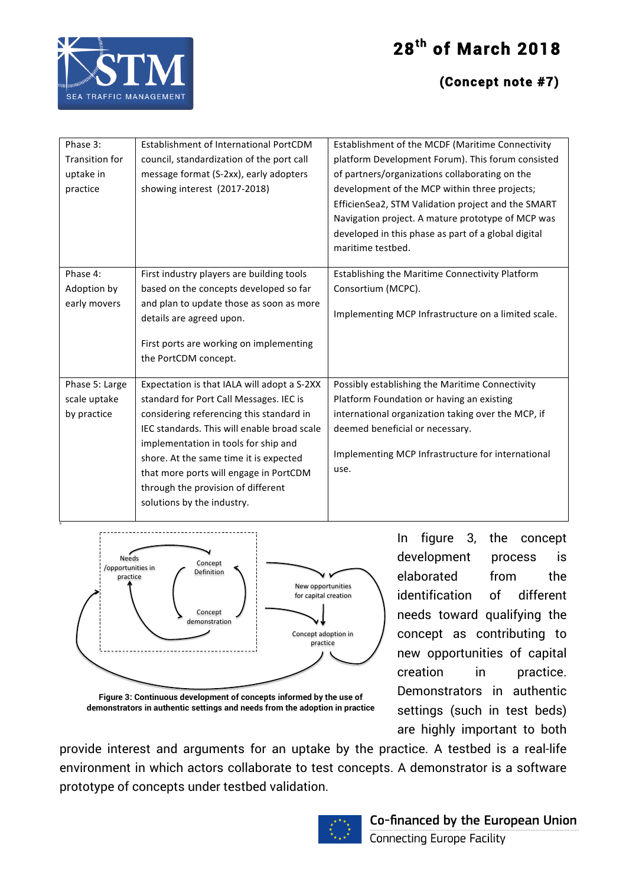



R

### **(Concept note #7)**

| Phase 3:<br><b>Transition for</b><br>uptake in<br>practice | Establishment of International PortCDM<br>council, standardization of the port call<br>message format (S-2xx), early adopters<br>showing interest (2017-2018)                                                                                                                                                                                                                     | Establishment of the MCDF (Maritime Connectivity<br>platform Development Forum). This forum consisted<br>of partners/organizations collaborating on the<br>development of the MCP within three projects;<br>EfficienSea2, STM Validation project and the SMART<br>Navigation project. A mature prototype of MCP was<br>developed in this phase as part of a global digital<br>maritime testbed. |
|------------------------------------------------------------|-----------------------------------------------------------------------------------------------------------------------------------------------------------------------------------------------------------------------------------------------------------------------------------------------------------------------------------------------------------------------------------|-------------------------------------------------------------------------------------------------------------------------------------------------------------------------------------------------------------------------------------------------------------------------------------------------------------------------------------------------------------------------------------------------|
| Phase 4:<br>Adoption by<br>early movers                    | First industry players are building tools<br>based on the concepts developed so far<br>and plan to update those as soon as more<br>details are agreed upon.<br>First ports are working on implementing<br>the PortCDM concept.                                                                                                                                                    | Establishing the Maritime Connectivity Platform<br>Consortium (MCPC).<br>Implementing MCP Infrastructure on a limited scale.                                                                                                                                                                                                                                                                    |
| Phase 5: Large<br>scale uptake<br>by practice              | Expectation is that IALA will adopt a S-2XX<br>standard for Port Call Messages. IEC is<br>considering referencing this standard in<br>IEC standards. This will enable broad scale<br>implementation in tools for ship and<br>shore. At the same time it is expected<br>that more ports will engage in PortCDM<br>through the provision of different<br>solutions by the industry. | Possibly establishing the Maritime Connectivity<br>Platform Foundation or having an existing<br>international organization taking over the MCP, if<br>deemed beneficial or necessary.<br>Implementing MCP Infrastructure for international<br>use.                                                                                                                                              |



In figure 3, the concept development process is elaborated from the identification of different needs toward qualifying the concept as contributing to new opportunities of capital creation in practice. Demonstrators in authentic settings (such in test beds) are highly important to both

**Figure 3: Continuous development of concepts informed by the use of demonstrators in authentic settings and needs from the adoption in practice**

provide interest and arguments for an uptake by the practice. A testbed is a real-life environment in which actors collaborate to test concepts. A demonstrator is a software prototype of concepts under testbed validation.

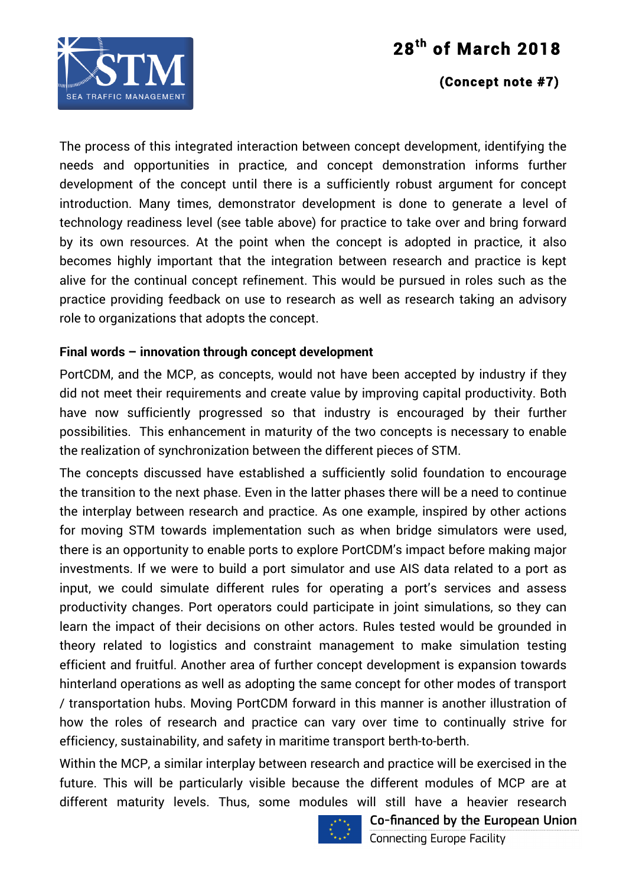

#### **(Concept note #7)**

The process of this integrated interaction between concept development, identifying the needs and opportunities in practice, and concept demonstration informs further development of the concept until there is a sufficiently robust argument for concept introduction. Many times, demonstrator development is done to generate a level of technology readiness level (see table above) for practice to take over and bring forward by its own resources. At the point when the concept is adopted in practice, it also becomes highly important that the integration between research and practice is kept alive for the continual concept refinement. This would be pursued in roles such as the practice providing feedback on use to research as well as research taking an advisory role to organizations that adopts the concept.

#### **Final words – innovation through concept development**

PortCDM, and the MCP, as concepts, would not have been accepted by industry if they did not meet their requirements and create value by improving capital productivity. Both have now sufficiently progressed so that industry is encouraged by their further possibilities. This enhancement in maturity of the two concepts is necessary to enable the realization of synchronization between the different pieces of STM.

The concepts discussed have established a sufficiently solid foundation to encourage the transition to the next phase. Even in the latter phases there will be a need to continue the interplay between research and practice. As one example, inspired by other actions for moving STM towards implementation such as when bridge simulators were used, there is an opportunity to enable ports to explore PortCDM's impact before making major investments. If we were to build a port simulator and use AIS data related to a port as input, we could simulate different rules for operating a port's services and assess productivity changes. Port operators could participate in joint simulations, so they can learn the impact of their decisions on other actors. Rules tested would be grounded in theory related to logistics and constraint management to make simulation testing efficient and fruitful. Another area of further concept development is expansion towards hinterland operations as well as adopting the same concept for other modes of transport / transportation hubs. Moving PortCDM forward in this manner is another illustration of how the roles of research and practice can vary over time to continually strive for efficiency, sustainability, and safety in maritime transport berth-to-berth.

Within the MCP, a similar interplay between research and practice will be exercised in the future. This will be particularly visible because the different modules of MCP are at different maturity levels. Thus, some modules will still have a heavier research